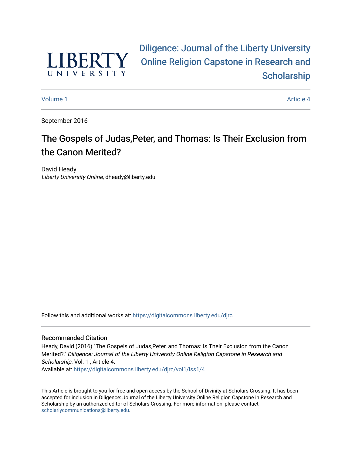

[Diligence: Journal of the Liberty University](https://digitalcommons.liberty.edu/djrc)  [Online Religion Capstone in Research and](https://digitalcommons.liberty.edu/djrc)  **Scholarship** 

[Volume 1](https://digitalcommons.liberty.edu/djrc/vol1) Article 4

September 2016

# The Gospels of Judas,Peter, and Thomas: Is Their Exclusion from the Canon Merited?

David Heady Liberty University Online, dheady@liberty.edu

Follow this and additional works at: [https://digitalcommons.liberty.edu/djrc](https://digitalcommons.liberty.edu/djrc?utm_source=digitalcommons.liberty.edu%2Fdjrc%2Fvol1%2Fiss1%2F4&utm_medium=PDF&utm_campaign=PDFCoverPages) 

#### Recommended Citation

Heady, David (2016) "The Gospels of Judas,Peter, and Thomas: Is Their Exclusion from the Canon Merited?," Diligence: Journal of the Liberty University Online Religion Capstone in Research and Scholarship: Vol. 1, Article 4. Available at: [https://digitalcommons.liberty.edu/djrc/vol1/iss1/4](https://digitalcommons.liberty.edu/djrc/vol1/iss1/4?utm_source=digitalcommons.liberty.edu%2Fdjrc%2Fvol1%2Fiss1%2F4&utm_medium=PDF&utm_campaign=PDFCoverPages) 

This Article is brought to you for free and open access by the School of Divinity at Scholars Crossing. It has been accepted for inclusion in Diligence: Journal of the Liberty University Online Religion Capstone in Research and Scholarship by an authorized editor of Scholars Crossing. For more information, please contact [scholarlycommunications@liberty.edu.](mailto:scholarlycommunications@liberty.edu)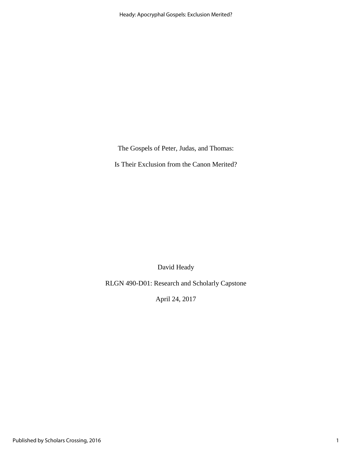The Gospels of Peter, Judas, and Thomas:

Is Their Exclusion from the Canon Merited?

David Heady

RLGN 490-D01: Research and Scholarly Capstone

April 24, 2017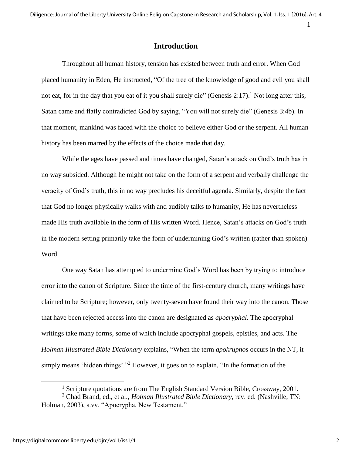## **Introduction**

Throughout all human history, tension has existed between truth and error. When God placed humanity in Eden, He instructed, "Of the tree of the knowledge of good and evil you shall not eat, for in the day that you eat of it you shall surely die" (Genesis 2:17).<sup>1</sup> Not long after this, Satan came and flatly contradicted God by saying, "You will not surely die" (Genesis 3:4b). In that moment, mankind was faced with the choice to believe either God or the serpent. All human history has been marred by the effects of the choice made that day.

While the ages have passed and times have changed, Satan's attack on God's truth has in no way subsided. Although he might not take on the form of a serpent and verbally challenge the veracity of God's truth, this in no way precludes his deceitful agenda. Similarly, despite the fact that God no longer physically walks with and audibly talks to humanity, He has nevertheless made His truth available in the form of His written Word. Hence, Satan's attacks on God's truth in the modern setting primarily take the form of undermining God's written (rather than spoken) Word.

One way Satan has attempted to undermine God's Word has been by trying to introduce error into the canon of Scripture. Since the time of the first-century church, many writings have claimed to be Scripture; however, only twenty-seven have found their way into the canon. Those that have been rejected access into the canon are designated as *apocryphal.* The apocryphal writings take many forms, some of which include apocryphal gospels, epistles, and acts. The *Holman Illustrated Bible Dictionary* explains, "When the term *apokruphos* occurs in the NT, it simply means 'hidden things'."<sup>2</sup> However, it goes on to explain, "In the formation of the

<sup>&</sup>lt;sup>1</sup> Scripture quotations are from The English Standard Version Bible, Crossway, 2001.

<sup>2</sup> Chad Brand, ed., et al., *Holman Illustrated Bible Dictionary,* rev. ed. (Nashville, TN: Holman, 2003), s.vv. "Apocrypha, New Testament."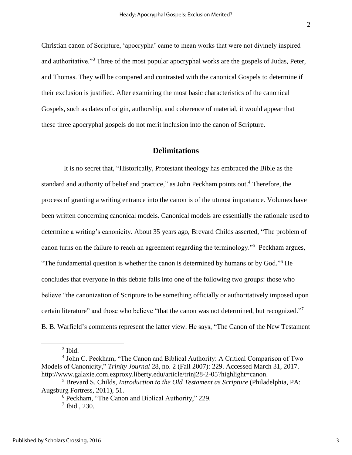Christian canon of Scripture, 'apocrypha' came to mean works that were not divinely inspired and authoritative."<sup>3</sup> Three of the most popular apocryphal works are the gospels of Judas, Peter, and Thomas. They will be compared and contrasted with the canonical Gospels to determine if their exclusion is justified. After examining the most basic characteristics of the canonical Gospels, such as dates of origin, authorship, and coherence of material, it would appear that these three apocryphal gospels do not merit inclusion into the canon of Scripture.

## **Delimitations**

It is no secret that, "Historically, Protestant theology has embraced the Bible as the standard and authority of belief and practice," as John Peckham points out.<sup>4</sup> Therefore, the process of granting a writing entrance into the canon is of the utmost importance. Volumes have been written concerning canonical models. Canonical models are essentially the rationale used to determine a writing's canonicity. About 35 years ago, Brevard Childs asserted, "The problem of canon turns on the failure to reach an agreement regarding the terminology."<sup>5</sup> Peckham argues, "The fundamental question is whether the canon is determined by humans or by God."<sup>6</sup> He concludes that everyone in this debate falls into one of the following two groups: those who believe "the canonization of Scripture to be something officially or authoritatively imposed upon certain literature" and those who believe "that the canon was not determined, but recognized."<sup>7</sup> B. B. Warfield's comments represent the latter view. He says, "The Canon of the New Testament

 $3$  Ibid.

<sup>4</sup> John C. Peckham, "The Canon and Biblical Authority: A Critical Comparison of Two Models of Canonicity," *Trinity Journal* 28, no. 2 (Fall 2007): 229. Accessed March 31, 2017. http://www.galaxie.com.ezproxy.liberty.edu/article/trinj28-2-05?highlight=canon.

<sup>5</sup> Brevard S. Childs, *Introduction to the Old Testament as Scripture* (Philadelphia, PA: Augsburg Fortress, 2011), 51.

<sup>6</sup> Peckham, "The Canon and Biblical Authority," 229.

<sup>7</sup> Ibid., 230.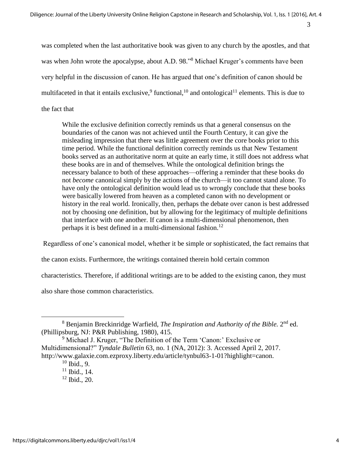was completed when the last authoritative book was given to any church by the apostles, and that was when John wrote the apocalypse, about A.D. 98."<sup>8</sup> Michael Kruger's comments have been very helpful in the discussion of canon. He has argued that one's definition of canon should be multifaceted in that it entails exclusive,  $9$  functional,  $10$  and ontological  $11$  elements. This is due to the fact that

While the exclusive definition correctly reminds us that a general consensus on the boundaries of the canon was not achieved until the Fourth Century, it can give the misleading impression that there was little agreement over the core books prior to this time period. While the functional definition correctly reminds us that New Testament books served as an authoritative norm at quite an early time, it still does not address what these books are in and of themselves. While the ontological definition brings the necessary balance to both of these approaches—offering a reminder that these books do not *become* canonical simply by the actions of the church—it too cannot stand alone. To have only the ontological definition would lead us to wrongly conclude that these books were basically lowered from heaven as a completed canon with no development or history in the real world. Ironically, then, perhaps the debate over canon is best addressed not by choosing one definition, but by allowing for the legitimacy of multiple definitions that interface with one another. If canon is a multi-dimensional phenomenon, then perhaps it is best defined in a multi-dimensional fashion.<sup>12</sup>

Regardless of one's canonical model, whether it be simple or sophisticated, the fact remains that

the canon exists. Furthermore, the writings contained therein hold certain common

characteristics. Therefore, if additional writings are to be added to the existing canon, they must

also share those common characteristics.

<sup>8</sup> Benjamin Breckinridge Warfield, *The Inspiration and Authority of the Bible.* 2 nd ed. (Phillipsburg, NJ: P&R Publishing, 1980), 415.

<sup>&</sup>lt;sup>9</sup> Michael J. Kruger, "The Definition of the Term 'Canon:' Exclusive or Multidimensional?" *Tyndale Bulletin* 63, no. 1 (NA, 2012): 3. Accessed April 2, 2017. http://www.galaxie.com.ezproxy.liberty.edu/article/tynbul63-1-01?highlight=canon.

 $10$  Ibid., 9.

 $11$  Ibid., 14.

 $12$  Ibid., 20.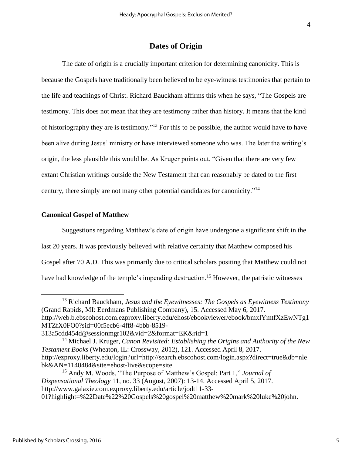## **Dates of Origin**

The date of origin is a crucially important criterion for determining canonicity. This is because the Gospels have traditionally been believed to be eye-witness testimonies that pertain to the life and teachings of Christ. Richard Bauckham affirms this when he says, "The Gospels are testimony. This does not mean that they are testimony rather than history. It means that the kind of historiography they are is testimony."<sup>13</sup> For this to be possible, the author would have to have been alive during Jesus' ministry or have interviewed someone who was. The later the writing's origin, the less plausible this would be. As Kruger points out, "Given that there are very few extant Christian writings outside the New Testament that can reasonably be dated to the first century, there simply are not many other potential candidates for canonicity."<sup>14</sup>

#### **Canonical Gospel of Matthew**

Suggestions regarding Matthew's date of origin have undergone a significant shift in the last 20 years. It was previously believed with relative certainty that Matthew composed his Gospel after 70 A.D. This was primarily due to critical scholars positing that Matthew could not have had knowledge of the temple's impending destruction.<sup>15</sup> However, the patristic witnesses

<sup>13</sup> Richard Bauckham, *Jesus and the Eyewitnesses: The Gospels as Eyewitness Testimony*  (Grand Rapids, MI: Eerdmans Publishing Company), 15. Accessed May 6, 2017. http://web.b.ebscohost.com.ezproxy.liberty.edu/ehost/ebookviewer/ebook/bmxlYmtfXzEwNTg1 MTZfX0FO0?sid=00f5ecb6-4ff8-4bbb-8519-

<sup>313</sup>a5cdd454d@sessionmgr102&vid=2&format=EK&rid=1

<sup>14</sup> Michael J. Kruger, *Canon Revisited: Establishing the Origins and Authority of the New Testament Books* (Wheaton, IL: Crossway, 2012), 121. Accessed April 8, 2017. http://ezproxy.liberty.edu/login?url=http://search.ebscohost.com/login.aspx?direct=true&db=nle bk&AN=1140484&site=ehost-live&scope=site.

<sup>15</sup> Andy M. Woods, "The Purpose of Matthew's Gospel: Part 1," *Journal of Dispensational Theology* 11, no. 33 (August, 2007): 13-14. Accessed April 5, 2017. http://www.galaxie.com.ezproxy.liberty.edu/article/jodt11-33- 01?highlight=%22Date%22%20Gospels%20gospel%20matthew%20mark%20luke%20john.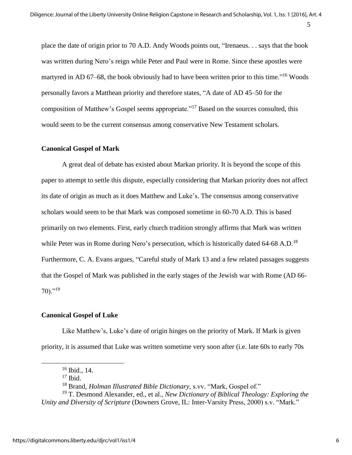place the date of origin prior to 70 A.D. Andy Woods points out, "Irenaeus. . . says that the book was written during Nero's reign while Peter and Paul were in Rome. Since these apostles were martyred in AD 67–68, the book obviously had to have been written prior to this time."<sup>16</sup> Woods personally favors a Matthean priority and therefore states, "A date of AD 45–50 for the composition of Matthew's Gospel seems appropriate."<sup>17</sup> Based on the sources consulted, this would seem to be the current consensus among conservative New Testament scholars.

#### **Canonical Gospel of Mark**

A great deal of debate has existed about Markan priority. It is beyond the scope of this paper to attempt to settle this dispute, especially considering that Markan priority does not affect its date of origin as much as it does Matthew and Luke's. The consensus among conservative scholars would seem to be that Mark was composed sometime in 60-70 A.D. This is based primarily on two elements. First, early church tradition strongly affirms that Mark was written while Peter was in Rome during Nero's persecution, which is historically dated 64-68 A.D.<sup>18</sup> Furthermore, C. A. Evans argues, "Careful study of Mark 13 and a few related passages suggests that the Gospel of Mark was published in the early stages of the Jewish war with Rome (AD 66-  $70$ )."<sup>19</sup>

#### **Canonical Gospel of Luke**

Like Matthew's, Luke's date of origin hinges on the priority of Mark. If Mark is given priority, it is assumed that Luke was written sometime very soon after (i.e. late 60s to early 70s

<sup>16</sup> Ibid., 14.

 $17$  Ibid.

<sup>18</sup> Brand, *Holman Illustrated Bible Dictionary,* s.vv. "Mark, Gospel of."

<sup>19</sup> T. Desmond Alexander, ed., et al., *New Dictionary of Biblical Theology: Exploring the Unity and Diversity of Scripture* (Downers Grove, IL: Inter-Varsity Press, 2000) s.v. "Mark."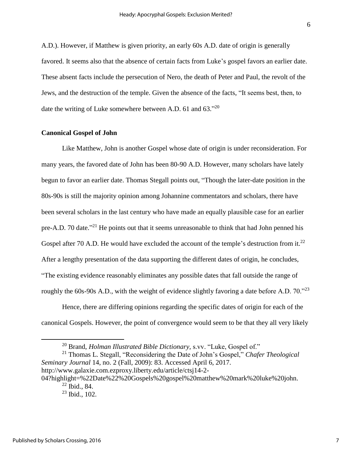A.D.). However, if Matthew is given priority, an early 60s A.D. date of origin is generally favored. It seems also that the absence of certain facts from Luke's gospel favors an earlier date. These absent facts include the persecution of Nero, the death of Peter and Paul, the revolt of the Jews, and the destruction of the temple. Given the absence of the facts, "It seems best, then, to date the writing of Luke somewhere between A.D. 61 and 63. $^{20}$ 

#### **Canonical Gospel of John**

Like Matthew, John is another Gospel whose date of origin is under reconsideration. For many years, the favored date of John has been 80-90 A.D. However, many scholars have lately begun to favor an earlier date. Thomas Stegall points out, "Though the later-date position in the 80s-90s is still the majority opinion among Johannine commentators and scholars, there have been several scholars in the last century who have made an equally plausible case for an earlier pre-A.D. 70 date.<sup>221</sup> He points out that it seems unreasonable to think that had John penned his Gospel after 70 A.D. He would have excluded the account of the temple's destruction from it.<sup>22</sup> After a lengthy presentation of the data supporting the different dates of origin, he concludes, "The existing evidence reasonably eliminates any possible dates that fall outside the range of roughly the 60s-90s A.D., with the weight of evidence slightly favoring a date before A.D. 70.<sup>723</sup>

Hence, there are differing opinions regarding the specific dates of origin for each of the canonical Gospels. However, the point of convergence would seem to be that they all very likely

<sup>21</sup> Thomas L. Stegall, "Reconsidering the Date of John's Gospel," *Chafer Theological Seminary Journal* 14, no. 2 (Fall, 2009): 83. Accessed April 6, 2017. http://www.galaxie.com.ezproxy.liberty.edu/article/ctsj14-2- 04?highlight=%22Date%22%20Gospels%20gospel%20matthew%20mark%20luke%20john.  $22$  Ibid., 84.

<sup>20</sup> Brand, *Holman Illustrated Bible Dictionary,* s.vv. "Luke, Gospel of."

 $23$  Ibid., 102.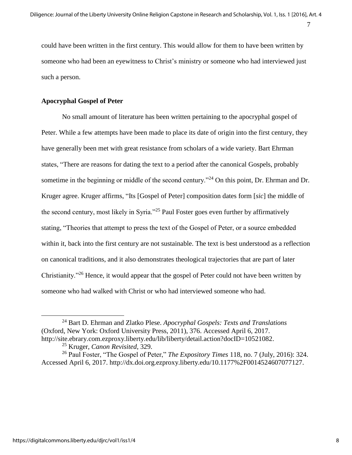could have been written in the first century. This would allow for them to have been written by someone who had been an eyewitness to Christ's ministry or someone who had interviewed just such a person.

## **Apocryphal Gospel of Peter**

No small amount of literature has been written pertaining to the apocryphal gospel of Peter. While a few attempts have been made to place its date of origin into the first century, they have generally been met with great resistance from scholars of a wide variety. Bart Ehrman states, "There are reasons for dating the text to a period after the canonical Gospels, probably sometime in the beginning or middle of the second century.<sup>"24</sup> On this point, Dr. Ehrman and Dr. Kruger agree. Kruger affirms, "Its [Gospel of Peter] composition dates form [*sic*] the middle of the second century, most likely in Syria."<sup>25</sup> Paul Foster goes even further by affirmatively stating, "Theories that attempt to press the text of the Gospel of Peter, or a source embedded within it, back into the first century are not sustainable. The text is best understood as a reflection on canonical traditions, and it also demonstrates theological trajectories that are part of later Christianity."<sup>26</sup> Hence, it would appear that the gospel of Peter could not have been written by someone who had walked with Christ or who had interviewed someone who had.

<sup>24</sup> Bart D. Ehrman and Zlatko Plese. *Apocryphal Gospels: Texts and Translations*  (Oxford, New York: Oxford University Press, 2011), 376. Accessed April 6, 2017. http://site.ebrary.com.ezproxy.liberty.edu/lib/liberty/detail.action?docID=10521082.

<sup>25</sup> Kruger, *Canon Revisited*, 329.

<sup>26</sup> Paul Foster, "The Gospel of Peter," *The Expository Times* 118, no. 7 (July, 2016): 324. Accessed April 6, 2017. http://dx.doi.org.ezproxy.liberty.edu/10.1177%2F0014524607077127.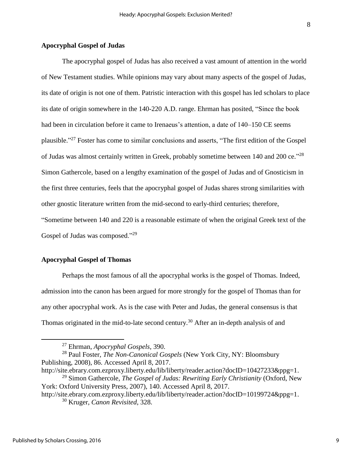## **Apocryphal Gospel of Judas**

The apocryphal gospel of Judas has also received a vast amount of attention in the world of New Testament studies. While opinions may vary about many aspects of the gospel of Judas, its date of origin is not one of them. Patristic interaction with this gospel has led scholars to place its date of origin somewhere in the 140-220 A.D. range. Ehrman has posited, "Since the book had been in circulation before it came to Irenaeus's attention, a date of 140–150 CE seems plausible."<sup>27</sup> Foster has come to similar conclusions and asserts, "The first edition of the Gospel of Judas was almost certainly written in Greek, probably sometime between 140 and 200 ce."<sup>28</sup> Simon Gathercole, based on a lengthy examination of the gospel of Judas and of Gnosticism in the first three centuries, feels that the apocryphal gospel of Judas shares strong similarities with other gnostic literature written from the mid-second to early-third centuries; therefore, "Sometime between 140 and 220 is a reasonable estimate of when the original Greek text of the Gospel of Judas was composed."<sup>29</sup>

#### **Apocryphal Gospel of Thomas**

Perhaps the most famous of all the apocryphal works is the gospel of Thomas. Indeed, admission into the canon has been argued for more strongly for the gospel of Thomas than for any other apocryphal work. As is the case with Peter and Judas, the general consensus is that Thomas originated in the mid-to-late second century.<sup>30</sup> After an in-depth analysis of and

<sup>27</sup> Ehrman, *Apocryphal Gospels,* 390.

<sup>28</sup> Paul Foster, *The Non-Canonical Gospels* (New York City, NY: Bloomsbury Publishing, 2008), 86. Accessed April 8, 2017.

http://site.ebrary.com.ezproxy.liberty.edu/lib/liberty/reader.action?docID=10427233&ppg=1. <sup>29</sup> Simon Gathercole, *The Gospel of Judas: Rewriting Early Christianity* (Oxford, New

York: Oxford University Press, 2007), 140. Accessed April 8, 2017.

http://site.ebrary.com.ezproxy.liberty.edu/lib/liberty/reader.action?docID=10199724&ppg=1. <sup>30</sup> Kruger, *Canon Revisited*, 328.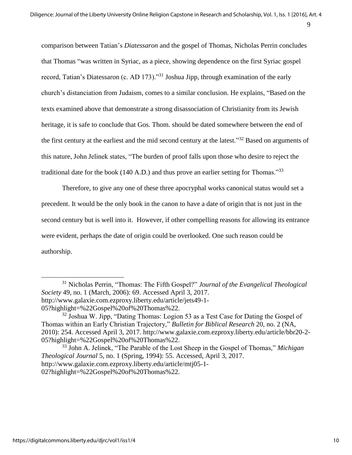comparison between Tatian's *Diatessaron* and the gospel of Thomas, Nicholas Perrin concludes that Thomas "was written in Syriac, as a piece, showing dependence on the first Syriac gospel record, Tatian's Diatessaron (c. AD 173).<sup>331</sup> Joshua Jipp, through examination of the early church's distanciation from Judaism, comes to a similar conclusion. He explains, "Based on the texts examined above that demonstrate a strong disassociation of Christianity from its Jewish heritage, it is safe to conclude that Gos. Thom. should be dated somewhere between the end of the first century at the earliest and the mid second century at the latest."<sup>32</sup> Based on arguments of this nature, John Jelinek states, "The burden of proof falls upon those who desire to reject the traditional date for the book (140 A.D.) and thus prove an earlier setting for Thomas."<sup>33</sup>

Therefore, to give any one of these three apocryphal works canonical status would set a precedent. It would be the only book in the canon to have a date of origin that is not just in the second century but is well into it. However, if other compelling reasons for allowing its entrance were evident, perhaps the date of origin could be overlooked. One such reason could be authorship.

<sup>31</sup> Nicholas Perrin, "Thomas: The Fifth Gospel?" *Journal of the Evangelical Theological Society* 49, no. 1 (March, 2006): 69. Accessed April 3, 2017. http://www.galaxie.com.ezproxy.liberty.edu/article/jets49-1- 05?highlight=%22Gospel%20of%20Thomas%22.

 $32$  Joshua W. Jipp, "Dating Thomas: Logion 53 as a Test Case for Dating the Gospel of Thomas within an Early Christian Trajectory," *Bulletin for Biblical Research* 20, no. 2 (NA, 2010): 254. Accessed April 3, 2017. http://www.galaxie.com.ezproxy.liberty.edu/article/bbr20-2- 05?highlight=%22Gospel%20of%20Thomas%22.

<sup>33</sup> John A. Jelinek, "The Parable of the Lost Sheep in the Gospel of Thomas," *Michigan Theological Journal* 5, no. 1 (Spring, 1994): 55. Accessed, April 3, 2017. http://www.galaxie.com.ezproxy.liberty.edu/article/mtj05-1- 02?highlight=%22Gospel%20of%20Thomas%22.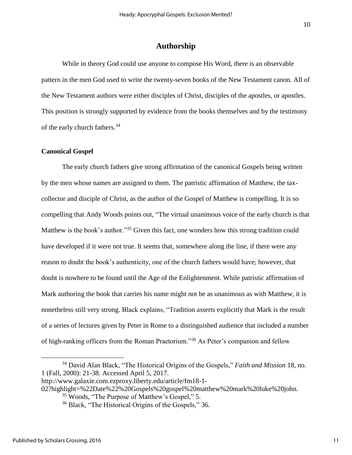## **Authorship**

While in theory God could use anyone to compose His Word, there is an observable pattern in the men God used to write the twenty-seven books of the New Testament canon. All of the New Testament authors were either disciples of Christ, disciples of the apostles, or apostles. This position is strongly supported by evidence from the books themselves and by the testimony of the early church fathers.<sup>34</sup>

#### **Canonical Gospel**

The early church fathers give strong affirmation of the canonical Gospels being written by the men whose names are assigned to them. The patristic affirmation of Matthew, the taxcollector and disciple of Christ, as the author of the Gospel of Matthew is compelling. It is so compelling that Andy Woods points out, "The virtual unanimous voice of the early church is that Matthew is the book's author."<sup>35</sup> Given this fact, one wonders how this strong tradition could have developed if it were not true. It seems that, somewhere along the line, if there were any reason to doubt the book's authenticity, one of the church fathers would have; however, that doubt is nowhere to be found until the Age of the Enlightenment. While patristic affirmation of Mark authoring the book that carries his name might not be as unanimous as with Matthew, it is nonetheless still very strong. Black explains, "Tradition asserts explicitly that Mark is the result of a series of lectures given by Peter in Rome to a distinguished audience that included a number of high-ranking officers from the Roman Praetorium."<sup>36</sup> As Peter's companion and fellow

02?highlight=%22Date%22%20Gospels%20gospel%20matthew%20mark%20luke%20john.

<sup>34</sup> David Alan Black, "The Historical Origins of the Gospels," *Faith and Mission* 18, no. 1 (Fall, 2000): 21-38. Accessed April 5, 2017.

http://www.galaxie.com.ezproxy.liberty.edu/article/fm18-1-

<sup>35</sup> Woods, "The Purpose of Matthew's Gospel," 5.

<sup>&</sup>lt;sup>36</sup> Black, "The Historical Origins of the Gospels," 36.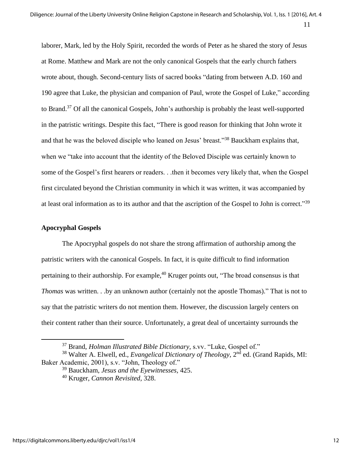laborer, Mark, led by the Holy Spirit, recorded the words of Peter as he shared the story of Jesus at Rome. Matthew and Mark are not the only canonical Gospels that the early church fathers wrote about, though. Second-century lists of sacred books "dating from between A.D. 160 and 190 agree that Luke, the physician and companion of Paul, wrote the Gospel of Luke," according to Brand.<sup>37</sup> Of all the canonical Gospels, John's authorship is probably the least well-supported in the patristic writings. Despite this fact, "There is good reason for thinking that John wrote it and that he was the beloved disciple who leaned on Jesus' breast."<sup>38</sup> Bauckham explains that, when we "take into account that the identity of the Beloved Disciple was certainly known to some of the Gospel's first hearers or readers. . .then it becomes very likely that, when the Gospel first circulated beyond the Christian community in which it was written, it was accompanied by at least oral information as to its author and that the ascription of the Gospel to John is correct."<sup>39</sup>

## **Apocryphal Gospels**

 $\overline{a}$ 

The Apocryphal gospels do not share the strong affirmation of authorship among the patristic writers with the canonical Gospels. In fact, it is quite difficult to find information pertaining to their authorship. For example,<sup>40</sup> Kruger points out, "The broad consensus is that *Thomas* was written. . .by an unknown author (certainly not the apostle Thomas)." That is not to say that the patristic writers do not mention them. However, the discussion largely centers on their content rather than their source. Unfortunately, a great deal of uncertainty surrounds the

<sup>37</sup> Brand, *Holman Illustrated Bible Dictionary,* s.vv. "Luke, Gospel of."

<sup>&</sup>lt;sup>38</sup> Walter A. Elwell, ed., *Evangelical Dictionary of Theology*, 2<sup>nd</sup> ed. (Grand Rapids, MI: Baker Academic, 2001), s.v. "John, Theology of."

<sup>39</sup> Bauckham, *Jesus and the Eyewitnesses,* 425.

<sup>40</sup> Kruger, *Cannon Revisited,* 328.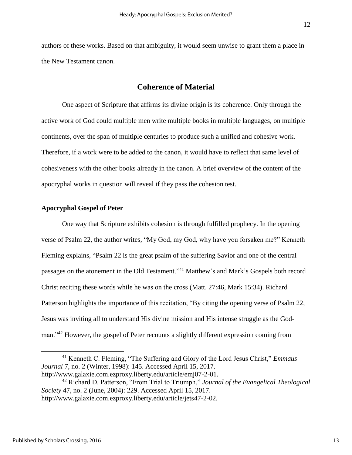authors of these works. Based on that ambiguity, it would seem unwise to grant them a place in the New Testament canon.

## **Coherence of Material**

One aspect of Scripture that affirms its divine origin is its coherence. Only through the active work of God could multiple men write multiple books in multiple languages, on multiple continents, over the span of multiple centuries to produce such a unified and cohesive work. Therefore, if a work were to be added to the canon, it would have to reflect that same level of cohesiveness with the other books already in the canon. A brief overview of the content of the apocryphal works in question will reveal if they pass the cohesion test.

#### **Apocryphal Gospel of Peter**

One way that Scripture exhibits cohesion is through fulfilled prophecy. In the opening verse of Psalm 22, the author writes, "My God, my God, why have you forsaken me?" Kenneth Fleming explains, ["Psalm](javascript:%7b%7d) 22 is the great psalm of the suffering Savior and one of the central passages on the atonement in the Old Testament."<sup>41</sup> Matthew's and Mark's Gospels both record Christ reciting these words while he was on the cross (Matt. 27:46, Mark 15:34). Richard Patterson highlights the importance of this recitation, "By citing the opening verse of Psalm 22, Jesus was inviting all to understand His divine mission and His intense struggle as the Godman."<sup>42</sup> However, the gospel of Peter recounts a slightly different expression coming from

<sup>41</sup> Kenneth C. Fleming, "The Suffering and Glory of the Lord Jesus Christ," *Emmaus Journal* 7, no. 2 (Winter, 1998): 145. Accessed April 15, 2017. http://www.galaxie.com.ezproxy.liberty.edu/article/emj07-2-01.

<sup>42</sup> Richard D. Patterson, "From Trial to Triumph," *Journal of the Evangelical Theological Society* 47, no. 2 (June, 2004): 229. Accessed April 15, 2017. http://www.galaxie.com.ezproxy.liberty.edu/article/jets47-2-02.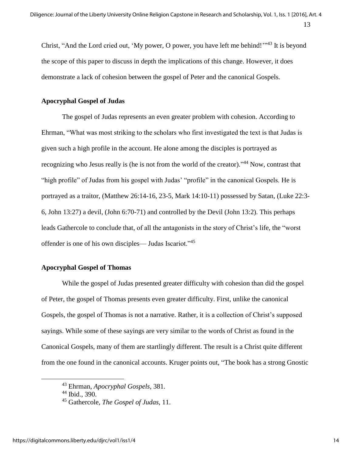Christ, "And the Lord cried out, 'My power, O power, you have left me behind!"<sup>43</sup> It is beyond the scope of this paper to discuss in depth the implications of this change. However, it does demonstrate a lack of cohesion between the gospel of Peter and the canonical Gospels.

## **Apocryphal Gospel of Judas**

The gospel of Judas represents an even greater problem with cohesion. According to Ehrman, "What was most striking to the scholars who first investigated the text is that Judas is given such a high profile in the account. He alone among the disciples is portrayed as recognizing who Jesus really is (he is not from the world of the creator)."<sup>44</sup> Now, contrast that "high profile" of Judas from his gospel with Judas' "profile" in the canonical Gospels. He is portrayed as a traitor, (Matthew 26:14-16, 23-5, Mark 14:10-11) possessed by Satan, (Luke 22:3- 6, John 13:27) a devil, (John 6:70-71) and controlled by the Devil (John 13:2). This perhaps leads Gathercole to conclude that, of all the antagonists in the story of Christ's life, the "worst offender is one of his own disciples— Judas Iscariot."<sup>45</sup>

## **Apocryphal Gospel of Thomas**

While the gospel of Judas presented greater difficulty with cohesion than did the gospel of Peter, the gospel of Thomas presents even greater difficulty. First, unlike the canonical Gospels, the gospel of Thomas is not a narrative. Rather, it is a collection of Christ's supposed sayings. While some of these sayings are very similar to the words of Christ as found in the Canonical Gospels, many of them are startlingly different. The result is a Christ quite different from the one found in the canonical accounts. Kruger points out, "The book has a strong Gnostic

<sup>43</sup> Ehrman, *Apocryphal Gospels,* 381.

<sup>44</sup> Ibid., 390.

<sup>45</sup> Gathercole, *The Gospel of Judas,* 11.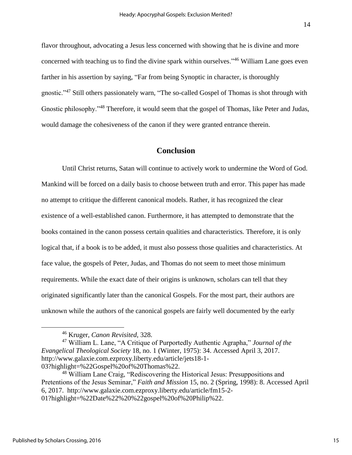flavor throughout, advocating a Jesus less concerned with showing that he is divine and more concerned with teaching us to find the divine spark within ourselves."<sup>46</sup> William Lane goes even farther in his assertion by saying, "Far from being Synoptic in character, is thoroughly gnostic."<sup>47</sup> Still others passionately warn, "The so-called Gospel of Thomas is shot through with Gnostic philosophy."<sup>48</sup> Therefore, it would seem that the gospel of Thomas, like Peter and Judas, would damage the cohesiveness of the canon if they were granted entrance therein.

## **Conclusion**

Until Christ returns, Satan will continue to actively work to undermine the Word of God. Mankind will be forced on a daily basis to choose between truth and error. This paper has made no attempt to critique the different canonical models. Rather, it has recognized the clear existence of a well-established canon. Furthermore, it has attempted to demonstrate that the books contained in the canon possess certain qualities and characteristics. Therefore, it is only logical that, if a book is to be added, it must also possess those qualities and characteristics. At face value, the gospels of Peter, Judas, and Thomas do not seem to meet those minimum requirements. While the exact date of their origins is unknown, scholars can tell that they originated significantly later than the canonical Gospels. For the most part, their authors are unknown while the authors of the canonical gospels are fairly well documented by the early

<sup>46</sup> Kruger, *Canon Revisited,* 328.

<sup>47</sup> William L. Lane, "A Critique of Purportedly Authentic Agrapha," *Journal of the Evangelical Theological Society* 18, no. 1 (Winter, 1975): 34. Accessed April 3, 2017. http://www.galaxie.com.ezproxy.liberty.edu/article/jets18-1- 03?highlight=%22Gospel%20of%20Thomas%22.

<sup>48</sup> William Lane Craig, "Rediscovering the Historical Jesus: Presuppositions and Pretentions of the Jesus Seminar," *Faith and Mission* 15, no. 2 (Spring, 1998): 8. Accessed April 6, 2017. http://www.galaxie.com.ezproxy.liberty.edu/article/fm15-2- 01?highlight=%22Date%22%20%22gospel%20of%20Philip%22.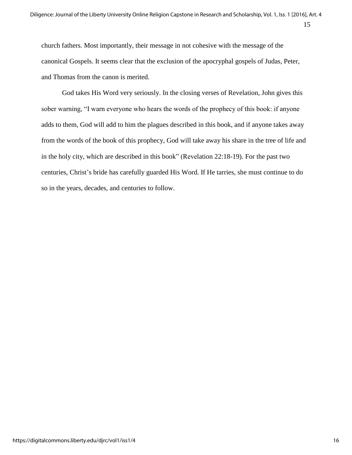church fathers. Most importantly, their message in not cohesive with the message of the canonical Gospels. It seems clear that the exclusion of the apocryphal gospels of Judas, Peter, and Thomas from the canon is merited.

God takes His Word very seriously. In the closing verses of Revelation, John gives this sober warning, "I warn everyone who hears the words of the prophecy of this book: if anyone adds to them, God will add to him the plagues described in this book, and if anyone takes away from the words of the book of this prophecy, God will take away his share in the tree of life and in the holy city, which are described in this book" (Revelation 22:18-19). For the past two centuries, Christ's bride has carefully guarded His Word. If He tarries, she must continue to do so in the years, decades, and centuries to follow.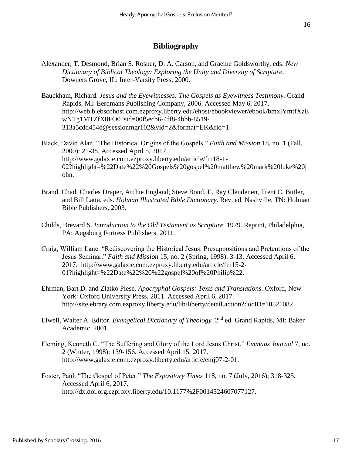## **Bibliography**

- Alexander, T. Desmond, Brian S. Rosner, D. A. Carson, and Graeme Goldsworthy, eds. *New Dictionary of Biblical Theology: Exploring the Unity and Diversity of Scripture*. Downers Grove, IL: Inter-Varsity Press, 2000.
- Bauckham, Richard. *Jesus and the Eyewitnesses: The Gospels as Eyewitness Testimony.* Grand Rapids, MI: Eerdmans Publishing Company, 2006. Accessed May 6, 2017. http://web.b.ebscohost.com.ezproxy.liberty.edu/ehost/ebookviewer/ebook/bmxlYmtfXzE wNTg1MTZfX0FO0?sid=00f5ecb6-4ff8-4bbb-8519- 313a5cdd454d@sessionmgr102&vid=2&format=EK&rid=1
- Black, David Alan. "The Historical Origins of the Gospels." *Faith and Mission* 18, no. 1 (Fall, 2000): 21-38. Accessed April 5, 2017. http://www.galaxie.com.ezproxy.liberty.edu/article/fm18-1- 02?highlight=%22Date%22%20Gospels%20gospel%20matthew%20mark%20luke%20j ohn.
- Brand, Chad, Charles Draper, Archie England, Steve Bond, E. Ray Clendenen, Trent C. Butler, and Bill Latta, eds. *Holman Illustrated Bible Dictionary.* Rev. ed. Nashville, TN: Holman Bible Publishers, 2003.
- Childs, Brevard S. *Introduction to the Old Testament as Scripture*. 1979. Reprint, Philadelphia, PA: Augsburg Fortress Publishers, 2011.
- Craig, William Lane. "Rediscovering the Historical Jesus: Presuppositions and Pretentions of the Jesus Seminar." *Faith and Mission* 15, no. 2 (Spring, 1998): 3-13. Accessed April 6, 2017. http://www.galaxie.com.ezproxy.liberty.edu/article/fm15-2- 01?highlight=%22Date%22%20%22gospel%20of%20Philip%22.
- Ehrman, Bart D. and Zlatko Plese. *Apocryphal Gospels: Texts and Translations.* Oxford, New York: Oxford University Press, 2011. Accessed April 6, 2017. http://site.ebrary.com.ezproxy.liberty.edu/lib/liberty/detail.action?docID=10521082.
- Elwell, Walter A. Editor. *Evangelical Dictionary of Theology*. 2<sup>nd</sup> ed. Grand Rapids, MI: Baker Academic, 2001.
- Fleming, Kenneth C. "The Suffering and Glory of the Lord Jesus Christ." *Emmaus Journal* 7, no. 2 (Winter, 1998): 139-156. Accessed April 15, 2017. http://www.galaxie.com.ezproxy.liberty.edu/article/emj07-2-01.
- Foster, Paul. "The Gospel of Peter." *The Expository Times* 118, no. 7 (July, 2016): 318-325. Accessed April 6, 2017. http://dx.doi.org.ezproxy.liberty.edu/10.1177%2F0014524607077127.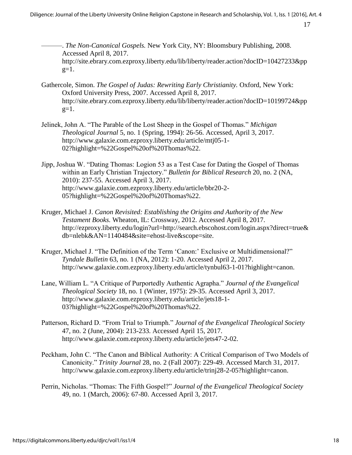- ———. *The Non-Canonical Gospels.* New York City, NY: Bloomsbury Publishing, 2008. Accessed April 8, 2017. http://site.ebrary.com.ezproxy.liberty.edu/lib/liberty/reader.action?docID=10427233&pp  $g=1$ .
- Gathercole, Simon. *The Gospel of Judas: Rewriting Early Christianity.* Oxford, New York: Oxford University Press, 2007. Accessed April 8, 2017. http://site.ebrary.com.ezproxy.liberty.edu/lib/liberty/reader.action?docID=10199724&pp  $g=1$ .
- Jelinek, John A. "The Parable of the Lost Sheep in the Gospel of Thomas." *Michigan Theological Journal* 5, no. 1 (Spring, 1994): 26-56. Accessed, April 3, 2017. http://www.galaxie.com.ezproxy.liberty.edu/article/mtj05-1- 02?highlight=%22Gospel%20of%20Thomas%22.
- Jipp, Joshua W. "Dating Thomas: Logion 53 as a Test Case for Dating the Gospel of Thomas within an Early Christian Trajectory." *Bulletin for Biblical Research* 20, no. 2 (NA, 2010): 237-55. Accessed April 3, 2017. http://www.galaxie.com.ezproxy.liberty.edu/article/bbr20-2- 05?highlight=%22Gospel%20of%20Thomas%22.
- Kruger, Michael J. *Canon Revisited: Establishing the Origins and Authority of the New Testament Books.* Wheaton, IL: Crossway, 2012. Accessed April 8, 2017. http://ezproxy.liberty.edu/login?url=http://search.ebscohost.com/login.aspx?direct=true& db=nlebk&AN=1140484&site=ehost-live&scope=site.
- Kruger, Michael J. "The Definition of the Term 'Canon:' Exclusive or Multidimensional?" *Tyndale Bulletin* 63, no. 1 (NA, 2012): 1-20. Accessed April 2, 2017. http://www.galaxie.com.ezproxy.liberty.edu/article/tynbul63-1-01?highlight=canon.
- Lane, William L. "A Critique of Purportedly Authentic Agrapha." *Journal of the Evangelical Theological Society* 18, no. 1 (Winter, 1975): 29-35. Accessed April 3, 2017. http://www.galaxie.com.ezproxy.liberty.edu/article/jets18-1- 03?highlight=%22Gospel%20of%20Thomas%22.
- Patterson, Richard D. "From Trial to Triumph." *Journal of the Evangelical Theological Society* 47, no. 2 (June, 2004): 213-233. Accessed April 15, 2017. http://www.galaxie.com.ezproxy.liberty.edu/article/jets47-2-02.
- Peckham, John C. "The Canon and Biblical Authority: A Critical Comparison of Two Models of Canonicity." *Trinity Journal* 28, no. 2 (Fall 2007): 229-49. Accessed March 31, 2017. http://www.galaxie.com.ezproxy.liberty.edu/article/trinj28-2-05?highlight=canon.
- Perrin, Nicholas. "Thomas: The Fifth Gospel?" *Journal of the Evangelical Theological Society*  49, no. 1 (March, 2006): 67-80. Accessed April 3, 2017.